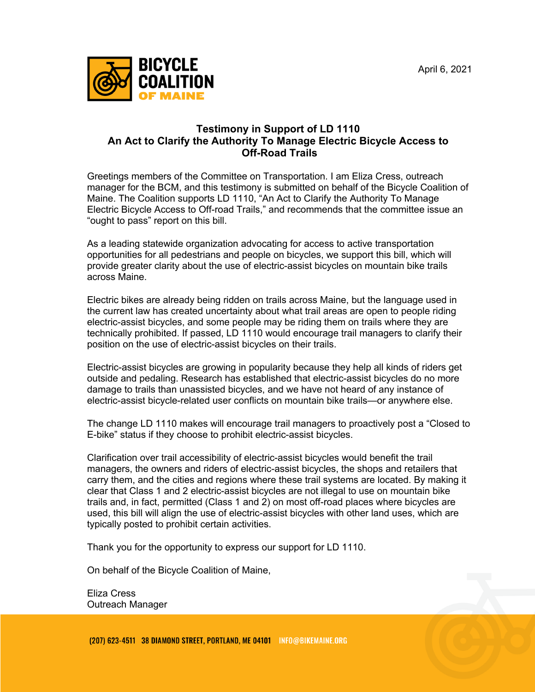

## **Testimony in Support of LD 1110 An Act to Clarify the Authority To Manage Electric Bicycle Access to Off-Road Trails**

Greetings members of the Committee on Transportation. I am Eliza Cress, outreach manager for the BCM, and this testimony is submitted on behalf of the Bicycle Coalition of Maine. The Coalition supports LD 1110, "An Act to Clarify the Authority To Manage Electric Bicycle Access to Off-road Trails," and recommends that the committee issue an "ought to pass" report on this bill.

As a leading statewide organization advocating for access to active transportation opportunities for all pedestrians and people on bicycles, we support this bill, which will provide greater clarity about the use of electric-assist bicycles on mountain bike trails across Maine.

Electric bikes are already being ridden on trails across Maine, but the language used in the current law has created uncertainty about what trail areas are open to people riding electric-assist bicycles, and some people may be riding them on trails where they are technically prohibited. If passed, LD 1110 would encourage trail managers to clarify their position on the use of electric-assist bicycles on their trails.

Electric-assist bicycles are growing in popularity because they help all kinds of riders get outside and pedaling. Research has established that electric-assist bicycles do no more damage to trails than unassisted bicycles, and we have not heard of any instance of electric-assist bicycle-related user conflicts on mountain bike trails—or anywhere else.

The change LD 1110 makes will encourage trail managers to proactively post a "Closed to E-bike" status if they choose to prohibit electric-assist bicycles.

Clarification over trail accessibility of electric-assist bicycles would benefit the trail managers, the owners and riders of electric-assist bicycles, the shops and retailers that carry them, and the cities and regions where these trail systems are located. By making it clear that Class 1 and 2 electric-assist bicycles are not illegal to use on mountain bike trails and, in fact, permitted (Class 1 and 2) on most off-road places where bicycles are used, this bill will align the use of electric-assist bicycles with other land uses, which are typically posted to prohibit certain activities.

Thank you for the opportunity to express our support for LD 1110.

On behalf of the Bicycle Coalition of Maine,

Eliza Cress Outreach Manager